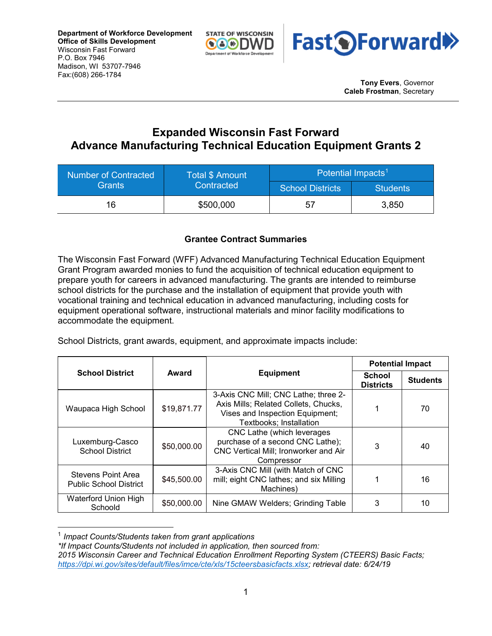**Department of Workforce Development Office of Skills Development** Wisconsin Fast Forward P.O. Box 7946 Madison, WI 53707-7946 Fax:(608) 266-1784





**Tony Evers**, Governor **Caleb Frostman**, Secretary

## **Expanded Wisconsin Fast Forward Advance Manufacturing Technical Education Equipment Grants 2**

| <b>Number of Contracted</b><br><b>Grants</b> | <b>Total \$ Amount</b><br>Contracted | Potential Impacts <sup>1</sup> |                 |  |
|----------------------------------------------|--------------------------------------|--------------------------------|-----------------|--|
|                                              |                                      | <b>School Districts</b>        | <b>Students</b> |  |
| 16                                           | \$500,000                            | 57                             | 3,850           |  |

## **Grantee Contract Summaries**

The Wisconsin Fast Forward (WFF) Advanced Manufacturing Technical Education Equipment Grant Program awarded monies to fund the acquisition of technical education equipment to prepare youth for careers in advanced manufacturing. The grants are intended to reimburse school districts for the purchase and the installation of equipment that provide youth with vocational training and technical education in advanced manufacturing, including costs for equipment operational software, instructional materials and minor facility modifications to accommodate the equipment.

School Districts, grant awards, equipment, and approximate impacts include:

|                                                     | Award       |                                                                                                                                            | <b>Potential Impact</b>           |                 |
|-----------------------------------------------------|-------------|--------------------------------------------------------------------------------------------------------------------------------------------|-----------------------------------|-----------------|
| <b>School District</b>                              |             | <b>Equipment</b>                                                                                                                           | <b>School</b><br><b>Districts</b> | <b>Students</b> |
| Waupaca High School                                 | \$19,871.77 | 3-Axis CNC Mill; CNC Lathe; three 2-<br>Axis Mills; Related Collets, Chucks,<br>Vises and Inspection Equipment;<br>Textbooks; Installation |                                   | 70              |
| Luxemburg-Casco<br><b>School District</b>           | \$50,000.00 | CNC Lathe (which leverages<br>purchase of a second CNC Lathe);<br>CNC Vertical Mill; Ironworker and Air<br>Compressor                      | 3                                 | 40              |
| Stevens Point Area<br><b>Public School District</b> | \$45,500.00 | 3-Axis CNC Mill (with Match of CNC<br>mill; eight CNC lathes; and six Milling<br>Machines)                                                 |                                   | 16              |
| Waterford Union High<br>Schoold                     | \$50,000.00 | Nine GMAW Welders; Grinding Table                                                                                                          | 3                                 | 10              |

<span id="page-0-0"></span>1 *Impact Counts/Students taken from grant applications* 

*\*If Impact Counts/Students not included in application, then sourced from:*

*<sup>2015</sup> Wisconsin Career and Technical Education Enrollment Reporting System (CTEERS) Basic Facts; [https://dpi.wi.gov/sites/default/files/imce/cte/xls/15cteersbasicfacts.xlsx;](https://dpi.wi.gov/sites/default/files/imce/cte/xls/15cteersbasicfacts.xlsx) retrieval date: 6/24/19*